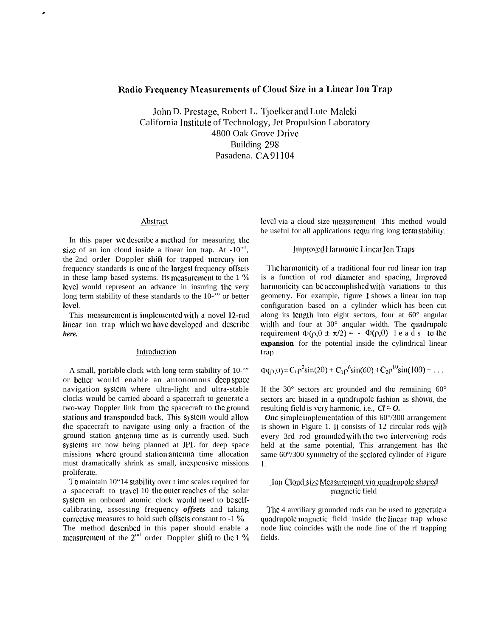# Radio Frequency Measurements of Cloud Size in a Linear Ion Trap

John D. Prestage, Robert L. Tjoelker and Lute Maleki California ]nstitute of Technology, Jet Propulsion Laboratory 4800 Oak Grove Drive Building 298 Pasadena. CA 91104

## Abstract

.

In this paper we describe a method for measuring the size of an ion cloud inside a linear ion trap. At  $-10^{-2}$ , the 2nd order Doppler shift for trapped mcrcuty ion frequency standards is one of the largest frequency offsets in these lamp based systems. Its measurement to the  $1\%$ level would represent an advance in insuring tlic very long term stability of these standards to the 10-'" or better level.

This measurement is implemented with a novel 12-rod linear ion trap which we have developed and describe *here.*

#### *Introduction*

A small, porlablc clock with long term stability of 10-'" or better would enable an autonomous deep space navigation system where ultra-light and ultra-stable clocks would be carried aboard a spacecraft to gcncratc a two-way Doppler link from the spacecraft to the grouud stations and transponded back, This system would allow the spacecraft to navigate using only a fraction of the ground station anlcnna time as is currently used. Such syslcms arc now being planned at JPL for deep space missions where ground station antenna time allocation must dramatically shrink as small, incxpcnsivc missions proliferate.

To maintain 10"14 stability over t imc scales required for a spacecraft to travel 10 the outer reaches of the solar system an onboard atomic clock would need to bc sclfcalibrating, assessing frequency *offsets* and taking corrective measures to hold such offsets constant to -1 %. The method dcscribcd in this paper should enable a measurement of the  $2<sup>nd</sup>$  order Doppler shift to the  $1\%$  lcvcl via a cloud size mcasurcmcnt. This method would be useful for all applications requiring long term stability.

# *Improved Harmonic Linear Ion Traps*

The harmonicity of a traditional four rod linear ion trap is a function of rod diameter and spacing, Improved harmonicity can be accomplished with variations to this geometry. For example, figure 1 shows a linear ion trap configuration based on a cylinder which has been cut along its length into eight sectors, four at 60° angular width and four at  $30^{\circ}$  angular width. The quadrupole requirement  $\Phi(\rho, \theta \pm \pi/2) = -\Phi(\rho, \theta)$  leads to the **expansion** for the potential inside the cylindrical linear trap

$$
\Phi(\rho,0) = C_0 \rho^2 \sin(2\theta) + C_1 \rho^6 \sin(6\theta) + C_2 \rho^{10} \sin(10\theta) + \dots
$$

If the 30 $\degree$  sectors arc grounded and the remaining 60 $\degree$ sectors arc biased in a quadrupolc fashion as shown, the resulting field is very harmonic, i.e.,  $Cl = O$ .

*Onc* simple implementation of this  $60^{\circ}/300$  arrangement is shown in Figure 1. It consists of  $12$  circular rods with every 3rd rod grounded with the two intervening rods held at the same potential, This arrangement has the same  $60^{\circ}/300$  symmetry of the sectored cylinder of Figure 1,

# *<u>Ion Cloud size Measurement via quadrupole shaped</u>* magnetic field

The 4 auxiliary grounded rods can be used to gcncratc a quadrupole magnetic field inside the linear trap whose node Iinc coincides with the node line of the rf trapping fields.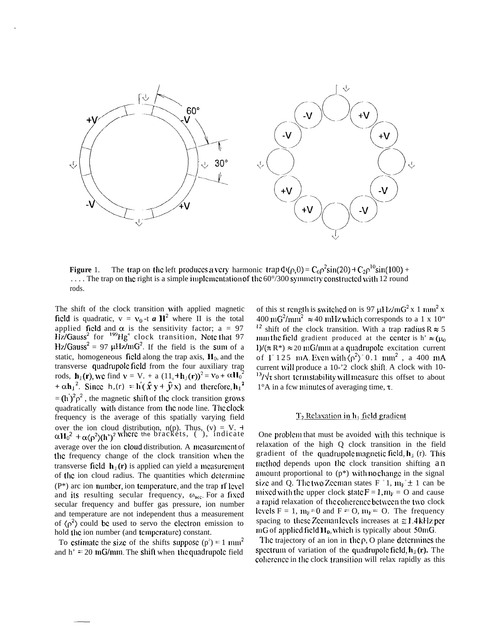

**Figure** 1. The trap on the left produces a very harmonic trap  $\Phi(\rho,0) = C_0 \rho^2 \sin(20) + C_2 \rho^{10} \sin(100) + C_2 \rho^{10} \sin(100)$ .... The trap on the right is a simple implementation of the 60°/300 symmetry constructed with 12 round rods.

The shift of the clock transition with applied magnetic field is quadratic,  $v = v_0$  -t **a**  $\mathbf{H}^2$  where II is the total applied field and  $\alpha$  is the sensitivity factor; a = 97 Hz/Gauss<sup>2</sup> for <sup>199</sup>Hg<sup>+</sup> clock transition, Note that 97  $Hz/Gauss^2 = 97 \mu Hz/mG^2$ . If the field is the sum of a static, homogeneous field along the trap axis,  $H_0$ , and the transverse quadrupole field from the four auxiliary trap rods,  $\mathbf{h}_1(\mathbf{r})$ , we find  $\mathbf{v} = \mathbf{V}$ . + a  $(11_0 + \mathbf{h}_1(\mathbf{r}))^2 = \mathbf{v}_0 + \alpha \mathbf{H}_0^2$ <br>+  $\alpha \mathbf{h}_1^2$ . Since  $\mathbf{h}_1(\mathbf{r}) = \mathbf{h}'(\hat{\mathbf{x}} \mathbf{y} + \hat{\mathbf{y}} \mathbf{x})$  and therefore,  $\mathbf{h}_1^2$  $=$  (h)<sup>2</sup> $\rho^2$ , the magnetic shift of the clock transition grows quadratically with distance from the node line. The clock frequency is the average of this spatially varying field over the ion cloud distribution, n(p). Thus, (v) = V. +  $\alpha H_0^2 + \alpha \langle \rho^2 \rangle (h^2)^2$  where the brackets, (), indicate average over the ion cloud distribution. A measurement of the frequency change of the clock transition when the transverse field  $\mathbf{h}_{\perp}(\mathbf{r})$  is applied can yield a measurement of the ion cloud radius. The quantities which dclcminc  $(P^*)$  arc ion number, ion temperature, and the trap rf level and its resulting secular frequency,  $\omega_{\text{sec}}$ . For a fixed secular frequency and buffer gas pressure, ion number and temperature are not independent thus a measurement of  $\langle \rho^2 \rangle$  could be used to servo the electron emission to hold the ion number (and tcmpcraturc) constant.

To estimate the size of the shifts suppose  $(p^2) = 1$  mm<sup>2</sup> and  $h' = 20 \text{ mG/mm}$ . The shift when the quadrupole field

of this st rength is switched on is 97  $\mu$ Hz/mG<sup>2</sup> x 1 mm<sup>2</sup> x 400 mG<sup>2</sup>/mm<sup>2</sup>  $\approx$  40 mHz which corresponds to a 1 x 10" <sup>12</sup> shift of the clock transition. With a trap radius R  $\approx$  5 mm the field gradient produced at the center is h'  $\approx (\mu_0$ I)/( $\pi$  R<sup>\*</sup>)  $\approx$  20 mG/mm at a quadrupole excitation current of I<sup>=</sup>125 mA. Even with  $\langle \rho^2 \rangle$ <sup>=</sup>0.1 mm<sup>2</sup>, a 400 mA current will produce a 10-'2 clock shift. A clock with 10- $13/\sqrt{\tau}$  short term stability will measure this offset to about  $1^{\circ}$ A in a fcw minutes of averaging time,  $\tau$ .

#### $T_2$  Relaxation in h<sub>i</sub> field gradient

One problem that must be avoided with this technique is relaxation of the high Q clock transition in the field gradient of the quadrupole magnetic field,  $h_{\perp}$  (r). This method depends upon the clock transition shifting an amount proportional to  $(p^*)$  with no change in the signal size and Q. The two Zecman states F = 1,  $m_F = \pm 1$  can be mixed with the upper clock state  $F = 1$ ,  $m_F = O$  and cause a rapid relaxation of the coherence between the two clock levels  $F = 1$ ,  $m_F = 0$  and  $F = 0$ ,  $m_F = 0$ . The frequency spacing to these Zeeman levels increases at  $\approx$  1.4 kHz pcr  $mG$  of applied field  $H_0$ , which is typically about 50mG.

The trajectory of an ion in the  $\rho$ , O plane determines the spectrum of variation of the quadrupole field,  $h_{\perp}$ **(r).** The coherence in the clock transition will relax rapidly as this